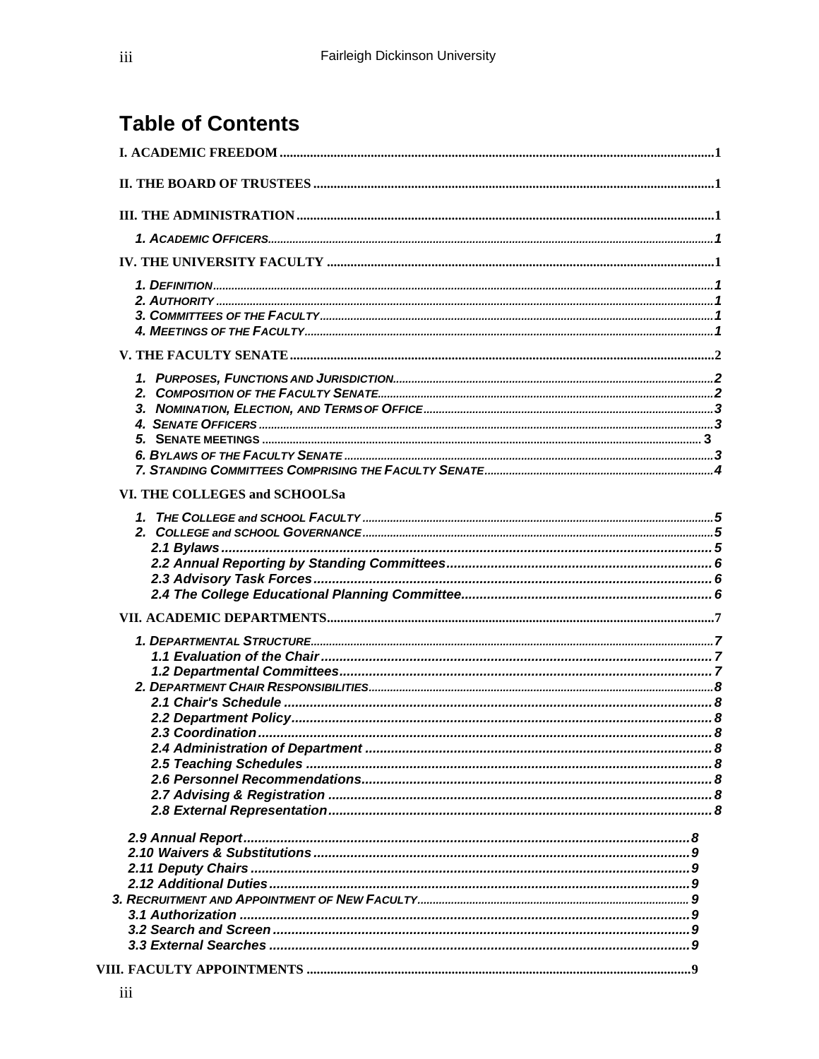# **Table of Contents**

| VI. THE COLLEGES and SCHOOLSa |  |
|-------------------------------|--|
|                               |  |
|                               |  |
|                               |  |
|                               |  |
|                               |  |
|                               |  |
|                               |  |
|                               |  |
|                               |  |
|                               |  |
|                               |  |
|                               |  |
|                               |  |
|                               |  |
|                               |  |
|                               |  |
|                               |  |
|                               |  |
|                               |  |
|                               |  |
|                               |  |
|                               |  |
|                               |  |
|                               |  |
|                               |  |
|                               |  |
|                               |  |
|                               |  |
|                               |  |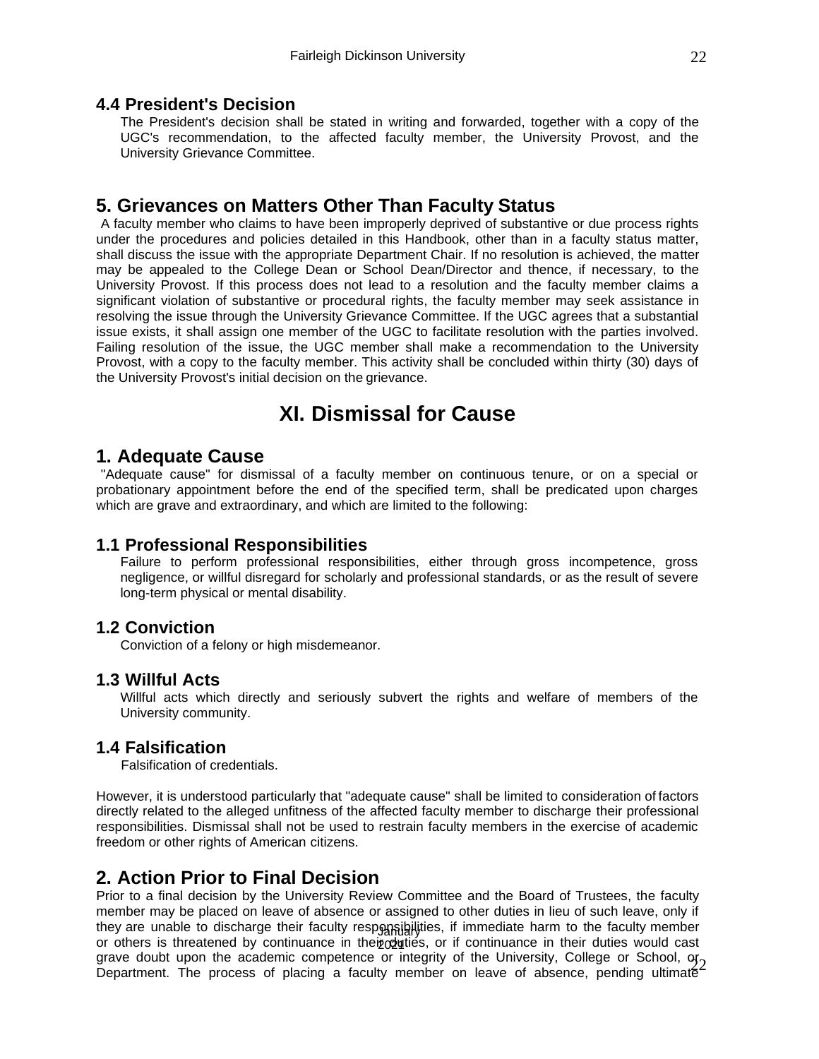#### **4.4 President's Decision**

The President's decision shall be stated in writing and forwarded, together with a copy of the UGC's recommendation, to the affected faculty member, the University Provost, and the University Grievance Committee.

# **5. Grievances on Matters Other Than Faculty Status**

A faculty member who claims to have been improperly deprived of substantive or due process rights under the procedures and policies detailed in this Handbook, other than in a faculty status matter, shall discuss the issue with the appropriate Department Chair. If no resolution is achieved, the matter may be appealed to the College Dean or School Dean/Director and thence, if necessary, to the University Provost. If this process does not lead to a resolution and the faculty member claims a significant violation of substantive or procedural rights, the faculty member may seek assistance in resolving the issue through the University Grievance Committee. If the UGC agrees that a substantial issue exists, it shall assign one member of the UGC to facilitate resolution with the parties involved. Failing resolution of the issue, the UGC member shall make a recommendation to the University Provost, with a copy to the faculty member. This activity shall be concluded within thirty (30) days of the University Provost's initial decision on the grievance.

# **XI. Dismissal for Cause**

### **1. Adequate Cause**

"Adequate cause" for dismissal of a faculty member on continuous tenure, or on a special or probationary appointment before the end of the specified term, shall be predicated upon charges which are grave and extraordinary, and which are limited to the following:

#### **1.1 Professional Responsibilities**

Failure to perform professional responsibilities, either through gross incompetence, gross negligence, or willful disregard for scholarly and professional standards, or as the result of severe long-term physical or mental disability.

#### **1.2 Conviction**

Conviction of a felony or high misdemeanor.

#### **1.3 Willful Acts**

Willful acts which directly and seriously subvert the rights and welfare of members of the University community.

#### **1.4 Falsification**

Falsification of credentials.

However, it is understood particularly that "adequate cause" shall be limited to consideration of factors directly related to the alleged unfitness of the affected faculty member to discharge their professional responsibilities. Dismissal shall not be used to restrain faculty members in the exercise of academic freedom or other rights of American citizens.

# **2. Action Prior to Final Decision**

Prior to a final decision by the University Review Committee and the Board of Trustees, the faculty member may be placed on leave of absence or assigned to other duties in lieu of such leave, only if WKHDUHXQEOHWRGLVFKDUJHWKHLUIDFXOWUHVSRQLELOLWLHVLILPPHGLDWHKDUPWRWKHIDFXOWPHPE or others is threatened by continuance in their duties, or if continuance in their duties would cast grave doubt upon the academic competence or integrity of the University, College or School, or Department. The process of placing a faculty member on leave of absence, pending ultimate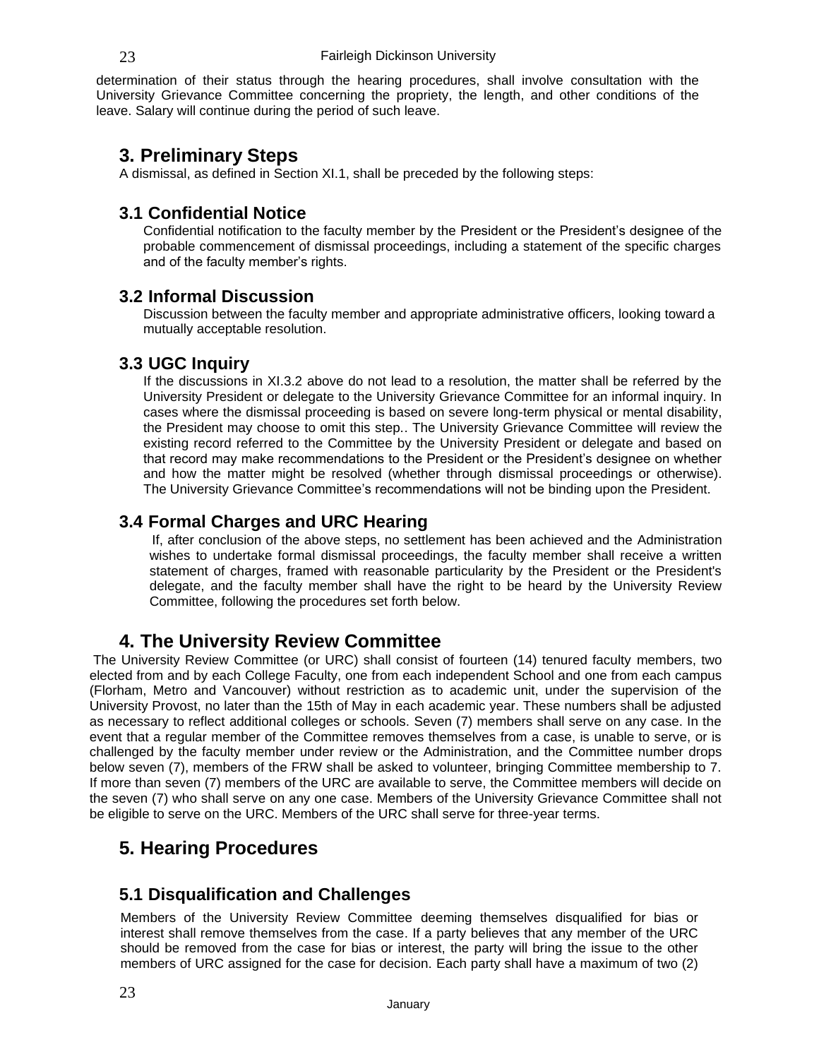determination of their status through the hearing procedures, shall involve consultation with the University Grievance Committee concerning the propriety, the length, and other conditions of the leave. Salary will continue during the period of such leave.

### **3. Preliminary Steps**

A dismissal, as defined in Section XI.1, shall be preceded by the following steps:

### **3.1 Confidential Notice**

Confidential notification to the faculty member by the President or the President's designee of the probable commencement of dismissal proceedings, including a statement of the specific charges and of the faculty member's rights.

### **3.2 Informal Discussion**

Discussion between the faculty member and appropriate administrative officers, looking toward a mutually acceptable resolution.

#### **3.3 UGC Inquiry**

If the discussions in XI.3.2 above do not lead to a resolution, the matter shall be referred by the University President or delegate to the University Grievance Committee for an informal inquiry. In cases where the dismissal proceeding is based on severe long-term physical or mental disability, the President may choose to omit this step.. The University Grievance Committee will review the existing record referred to the Committee by the University President or delegate and based on that record may make recommendations to the President or the President's designee on whether and how the matter might be resolved (whether through dismissal proceedings or otherwise). The University Grievance Committee's recommendations will not be binding upon the President.

### **3.4 Formal Charges and URC Hearing**

If, after conclusion of the above steps, no settlement has been achieved and the Administration wishes to undertake formal dismissal proceedings, the faculty member shall receive a written statement of charges, framed with reasonable particularity by the President or the President's delegate, and the faculty member shall have the right to be heard by the University Review Committee, following the procedures set forth below.

# **4. The University Review Committee**

The University Review Committee (or URC) shall consist of fourteen (14) tenured faculty members, two elected from and by each College Faculty, one from each independent School and one from each campus (Florham, Metro and Vancouver) without restriction as to academic unit, under the supervision of the University Provost, no later than the 15th of May in each academic year. These numbers shall be adjusted as necessary to reflect additional colleges or schools. Seven (7) members shall serve on any case. In the event that a regular member of the Committee removes themselves from a case, is unable to serve, or is challenged by the faculty member under review or the Administration, and the Committee number drops below seven (7), members of the FRW shall be asked to volunteer, bringing Committee membership to 7. If more than seven (7) members of the URC are available to serve, the Committee members will decide on the seven (7) who shall serve on any one case. Members of the University Grievance Committee shall not be eligible to serve on the URC. Members of the URC shall serve for three-year terms.

# **5. Hearing Procedures**

#### **5.1 Disqualification and Challenges**

Members of the University Review Committee deeming themselves disqualified for bias or interest shall remove themselves from the case. If a party believes that any member of the URC should be removed from the case for bias or interest, the party will bring the issue to the other members of URC assigned for the case for decision. Each party shall have a maximum of two (2)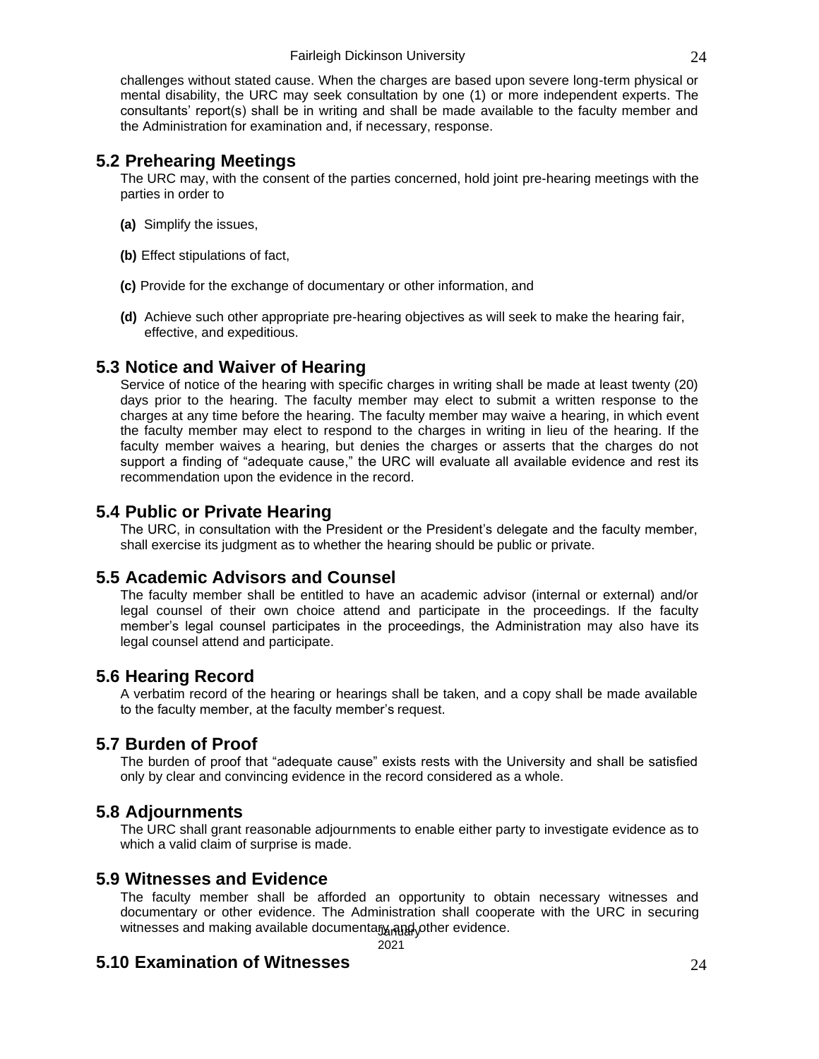challenges without stated cause. When the charges are based upon severe long-term physical or mental disability, the URC may seek consultation by one (1) or more independent experts. The consultants' report(s) shall be in writing and shall be made available to the faculty member and the Administration for examination and, if necessary, response.

### **5.2 Prehearing Meetings**

The URC may, with the consent of the parties concerned, hold joint pre-hearing meetings with the parties in order to

- **(a)** Simplify the issues,
- **(b)** Effect stipulations of fact,
- **(c)** Provide for the exchange of documentary or other information, and
- **(d)** Achieve such other appropriate pre-hearing objectives as will seek to make the hearing fair, effective, and expeditious.

### **5.3 Notice and Waiver of Hearing**

Service of notice of the hearing with specific charges in writing shall be made at least twenty (20) days prior to the hearing. The faculty member may elect to submit a written response to the charges at any time before the hearing. The faculty member may waive a hearing, in which event the faculty member may elect to respond to the charges in writing in lieu of the hearing. If the faculty member waives a hearing, but denies the charges or asserts that the charges do not support a finding of "adequate cause," the URC will evaluate all available evidence and rest its recommendation upon the evidence in the record.

### **5.4 Public or Private Hearing**

The URC, in consultation with the President or the President's delegate and the faculty member, shall exercise its judgment as to whether the hearing should be public or private.

### **5.5 Academic Advisors and Counsel**

The faculty member shall be entitled to have an academic advisor (internal or external) and/or legal counsel of their own choice attend and participate in the proceedings. If the faculty member's legal counsel participates in the proceedings, the Administration may also have its legal counsel attend and participate.

### **5.6 Hearing Record**

A verbatim record of the hearing or hearings shall be taken, and a copy shall be made available to the faculty member, at the faculty member's request.

# **5.7 Burden of Proof**

The burden of proof that "adequate cause" exists rests with the University and shall be satisfied only by clear and convincing evidence in the record considered as a whole.

### **5.8 Adjournments**

The URC shall grant reasonable adjournments to enable either party to investigate evidence as to which a valid claim of surprise is made.

#### **5.9 Witnesses and Evidence**

The faculty member shall be afforded an opportunity to obtain necessary witnesses and documentary or other evidence. The Administration shall cooperate with the URC in securing witnesses and making available documentary and other evidence.

# **5.10 Examination of Witnesses**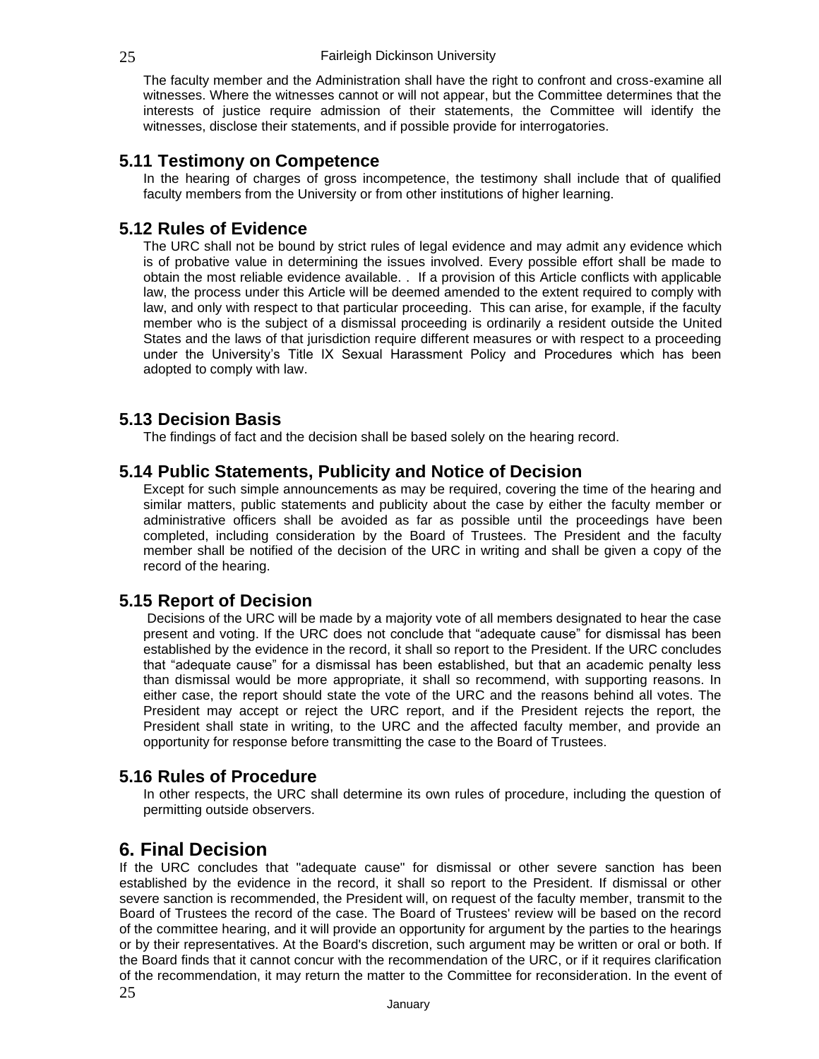#### 25 **Fairleigh Dickinson University**

The faculty member and the Administration shall have the right to confront and cross-examine all witnesses. Where the witnesses cannot or will not appear, but the Committee determines that the interests of justice require admission of their statements, the Committee will identify the witnesses, disclose their statements, and if possible provide for interrogatories.

### **5.11 Testimony on Competence**

In the hearing of charges of gross incompetence, the testimony shall include that of qualified faculty members from the University or from other institutions of higher learning.

#### **5.12 Rules of Evidence**

The URC shall not be bound by strict rules of legal evidence and may admit any evidence which is of probative value in determining the issues involved. Every possible effort shall be made to obtain the most reliable evidence available. . If a provision of this Article conflicts with applicable law, the process under this Article will be deemed amended to the extent required to comply with law, and only with respect to that particular proceeding. This can arise, for example, if the faculty member who is the subject of a dismissal proceeding is ordinarily a resident outside the United States and the laws of that jurisdiction require different measures or with respect to a proceeding under the University's Title IX Sexual Harassment Policy and Procedures which has been adopted to comply with law.

### **5.13 Decision Basis**

The findings of fact and the decision shall be based solely on the hearing record.

#### **5.14 Public Statements, Publicity and Notice of Decision**

Except for such simple announcements as may be required, covering the time of the hearing and similar matters, public statements and publicity about the case by either the faculty member or administrative officers shall be avoided as far as possible until the proceedings have been completed, including consideration by the Board of Trustees. The President and the faculty member shall be notified of the decision of the URC in writing and shall be given a copy of the record of the hearing.

#### **5.15 Report of Decision**

Decisions of the URC will be made by a majority vote of all members designated to hear the case present and voting. If the URC does not conclude that "adequate cause" for dismissal has been established by the evidence in the record, it shall so report to the President. If the URC concludes that "adequate cause" for a dismissal has been established, but that an academic penalty less than dismissal would be more appropriate, it shall so recommend, with supporting reasons. In either case, the report should state the vote of the URC and the reasons behind all votes. The President may accept or reject the URC report, and if the President rejects the report, the President shall state in writing, to the URC and the affected faculty member, and provide an opportunity for response before transmitting the case to the Board of Trustees.

#### **5.16 Rules of Procedure**

In other respects, the URC shall determine its own rules of procedure, including the question of permitting outside observers.

# **6. Final Decision**

If the URC concludes that "adequate cause" for dismissal or other severe sanction has been established by the evidence in the record, it shall so report to the President. If dismissal or other severe sanction is recommended, the President will, on request of the faculty member, transmit to the Board of Trustees the record of the case. The Board of Trustees' review will be based on the record of the committee hearing, and it will provide an opportunity for argument by the parties to the hearings or by their representatives. At the Board's discretion, such argument may be written or oral or both. If the Board finds that it cannot concur with the recommendation of the URC, or if it requires clarification of the recommendation, it may return the matter to the Committee for reconsideration. In the event of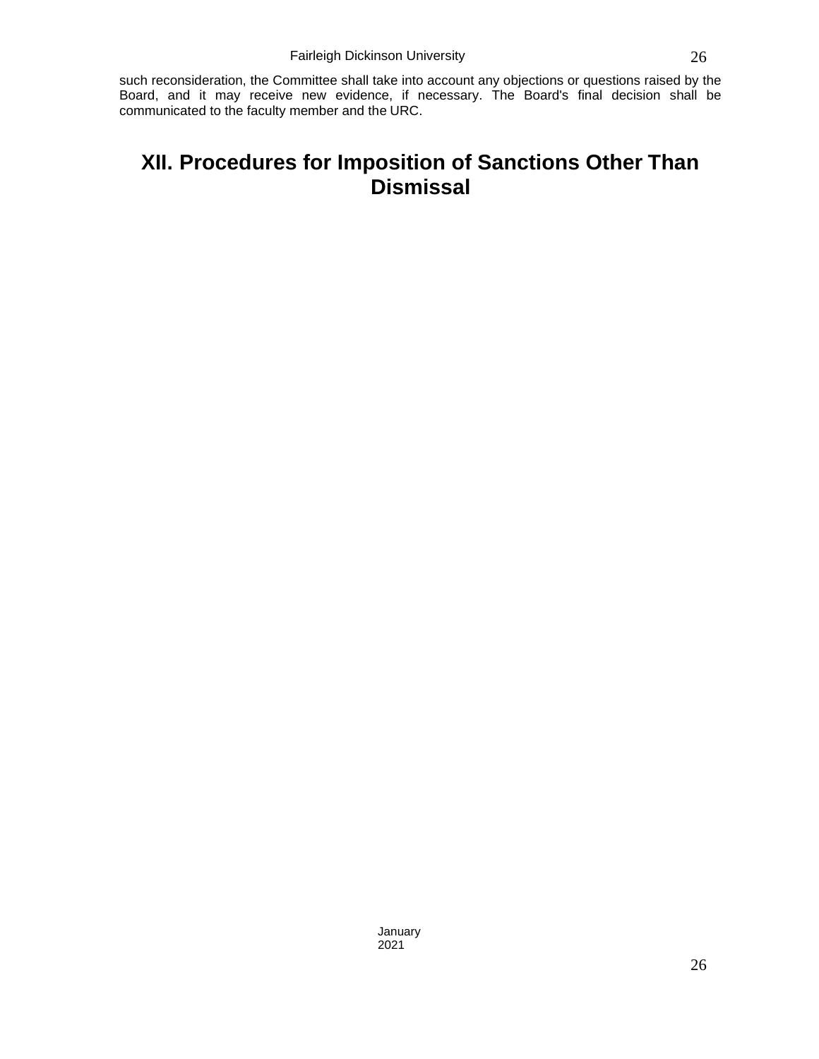such reconsideration, the Committee shall take into account any objections or questions raised by the Board, and it may receive new evidence, if necessary. The Board's final decision shall be communicated to the faculty member and the URC.

# **XII. Procedures for Imposition of Sanctions Other Than Dismissal**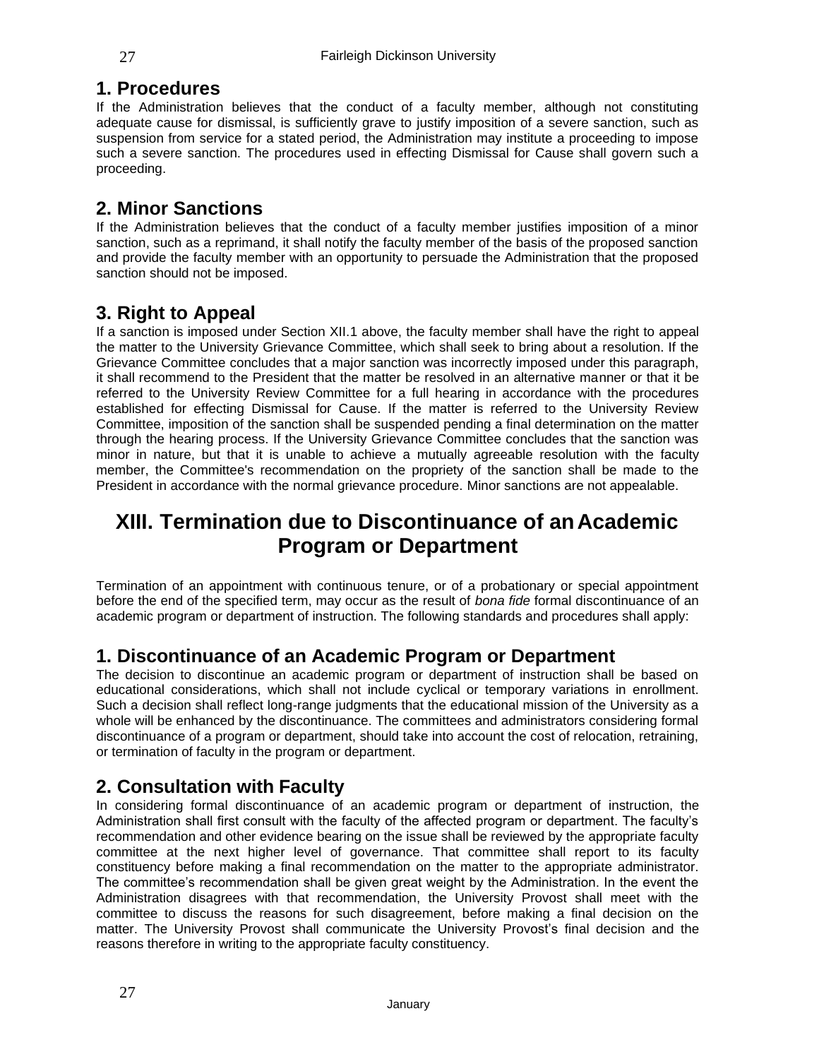### **1. Procedures**

If the Administration believes that the conduct of a faculty member, although not constituting adequate cause for dismissal, is sufficiently grave to justify imposition of a severe sanction, such as suspension from service for a stated period, the Administration may institute a proceeding to impose such a severe sanction. The procedures used in effecting Dismissal for Cause shall govern such a proceeding.

# **2. Minor Sanctions**

If the Administration believes that the conduct of a faculty member justifies imposition of a minor sanction, such as a reprimand, it shall notify the faculty member of the basis of the proposed sanction and provide the faculty member with an opportunity to persuade the Administration that the proposed sanction should not be imposed.

# **3. Right to Appeal**

If a sanction is imposed under Section XII.1 above, the faculty member shall have the right to appeal the matter to the University Grievance Committee, which shall seek to bring about a resolution. If the Grievance Committee concludes that a major sanction was incorrectly imposed under this paragraph, it shall recommend to the President that the matter be resolved in an alternative manner or that it be referred to the University Review Committee for a full hearing in accordance with the procedures established for effecting Dismissal for Cause. If the matter is referred to the University Review Committee, imposition of the sanction shall be suspended pending a final determination on the matter through the hearing process. If the University Grievance Committee concludes that the sanction was minor in nature, but that it is unable to achieve a mutually agreeable resolution with the faculty member, the Committee's recommendation on the propriety of the sanction shall be made to the President in accordance with the normal grievance procedure. Minor sanctions are not appealable.

# **XIII. Termination due to Discontinuance of anAcademic Program or Department**

Termination of an appointment with continuous tenure, or of a probationary or special appointment before the end of the specified term, may occur as the result of *bona fide* formal discontinuance of an academic program or department of instruction. The following standards and procedures shall apply:

# **1. Discontinuance of an Academic Program or Department**

The decision to discontinue an academic program or department of instruction shall be based on educational considerations, which shall not include cyclical or temporary variations in enrollment. Such a decision shall reflect long-range judgments that the educational mission of the University as a whole will be enhanced by the discontinuance. The committees and administrators considering formal discontinuance of a program or department, should take into account the cost of relocation, retraining, or termination of faculty in the program or department.

# **2. Consultation with Faculty**

In considering formal discontinuance of an academic program or department of instruction, the Administration shall first consult with the faculty of the affected program or department. The faculty's recommendation and other evidence bearing on the issue shall be reviewed by the appropriate faculty committee at the next higher level of governance. That committee shall report to its faculty constituency before making a final recommendation on the matter to the appropriate administrator. The committee's recommendation shall be given great weight by the Administration. In the event the Administration disagrees with that recommendation, the University Provost shall meet with the committee to discuss the reasons for such disagreement, before making a final decision on the matter. The University Provost shall communicate the University Provost's final decision and the reasons therefore in writing to the appropriate faculty constituency.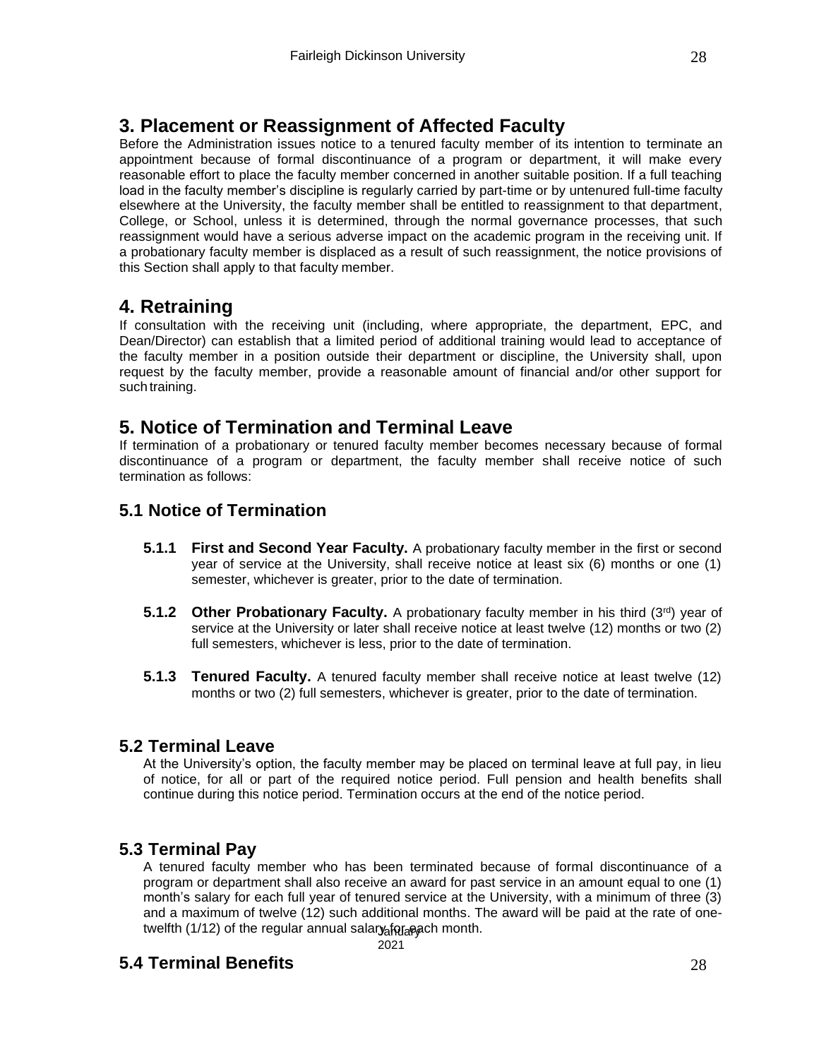# **3. Placement or Reassignment of Affected Faculty**

Before the Administration issues notice to a tenured faculty member of its intention to terminate an appointment because of formal discontinuance of a program or department, it will make every reasonable effort to place the faculty member concerned in another suitable position. If a full teaching load in the faculty member's discipline is regularly carried by part-time or by untenured full-time faculty elsewhere at the University, the faculty member shall be entitled to reassignment to that department, College, or School, unless it is determined, through the normal governance processes, that such reassignment would have a serious adverse impact on the academic program in the receiving unit. If a probationary faculty member is displaced as a result of such reassignment, the notice provisions of this Section shall apply to that faculty member.

# **4. Retraining**

If consultation with the receiving unit (including, where appropriate, the department, EPC, and Dean/Director) can establish that a limited period of additional training would lead to acceptance of the faculty member in a position outside their department or discipline, the University shall, upon request by the faculty member, provide a reasonable amount of financial and/or other support for such training.

# **5. Notice of Termination and Terminal Leave**

If termination of a probationary or tenured faculty member becomes necessary because of formal discontinuance of a program or department, the faculty member shall receive notice of such termination as follows:

# **5.1 Notice of Termination**

- **5.1.1 First and Second Year Faculty.** A probationary faculty member in the first or second year of service at the University, shall receive notice at least six (6) months or one (1) semester, whichever is greater, prior to the date of termination.
- **5.1.2 Other Probationary Faculty.** A probationary faculty member in his third (3<sup>rd</sup>) year of service at the University or later shall receive notice at least twelve (12) months or two (2) full semesters, whichever is less, prior to the date of termination.
- **5.1.3 Tenured Faculty.** A tenured faculty member shall receive notice at least twelve (12) months or two (2) full semesters, whichever is greater, prior to the date of termination.

### **5.2 Terminal Leave**

At the University's option, the faculty member may be placed on terminal leave at full pay, in lieu of notice, for all or part of the required notice period. Full pension and health benefits shall continue during this notice period. Termination occurs at the end of the notice period.

### **5.3 Terminal Pay**

A tenured faculty member who has been terminated because of formal discontinuance of a program or department shall also receive an award for past service in an amount equal to one (1) month's salary for each full year of tenured service at the University, with a minimum of three (3) and a maximum of twelve (12) such additional months. The award will be paid at the rate of onetwelfth (1/12) of the regular annual salary for each month.

# **5.4 Terminal Benefits**